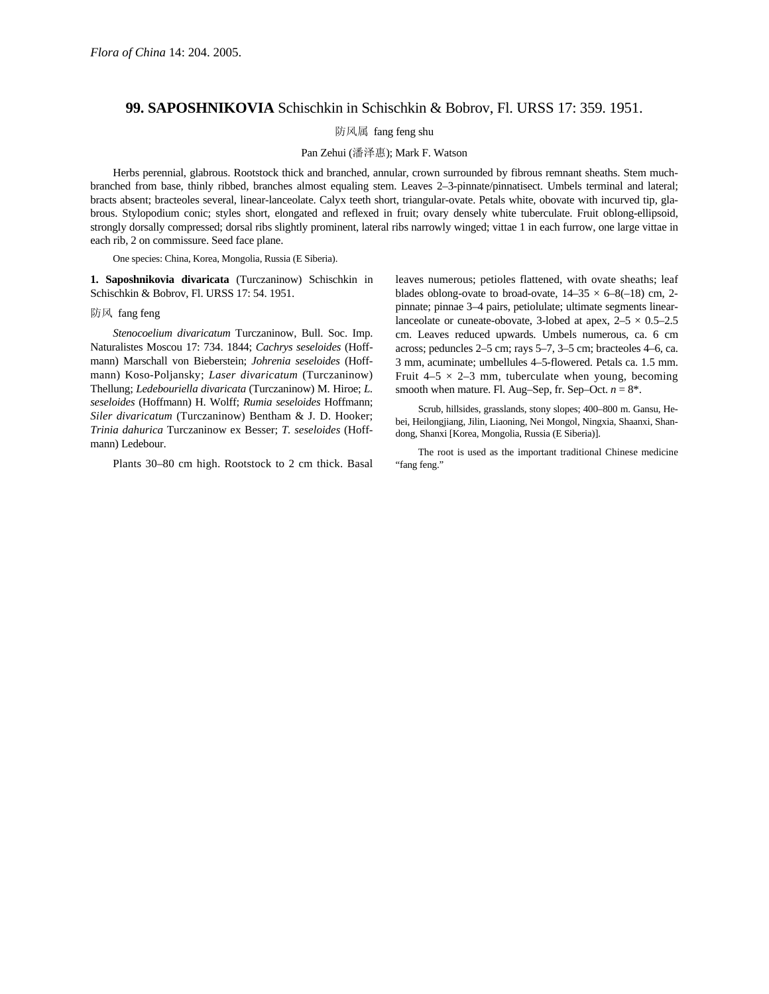## **99. SAPOSHNIKOVIA** Schischkin in Schischkin & Bobrov, Fl. URSS 17: 359. 1951.

防风属 fang feng shu

## Pan Zehui (潘泽惠); Mark F. Watson

Herbs perennial, glabrous. Rootstock thick and branched, annular, crown surrounded by fibrous remnant sheaths. Stem muchbranched from base, thinly ribbed, branches almost equaling stem. Leaves 2–3-pinnate/pinnatisect. Umbels terminal and lateral; bracts absent; bracteoles several, linear-lanceolate. Calyx teeth short, triangular-ovate. Petals white, obovate with incurved tip, glabrous. Stylopodium conic; styles short, elongated and reflexed in fruit; ovary densely white tuberculate. Fruit oblong-ellipsoid, strongly dorsally compressed; dorsal ribs slightly prominent, lateral ribs narrowly winged; vittae 1 in each furrow, one large vittae in each rib, 2 on commissure. Seed face plane.

One species: China, Korea, Mongolia, Russia (E Siberia).

**1. Saposhnikovia divaricata** (Turczaninow) Schischkin in Schischkin & Bobrov, Fl. URSS 17: 54. 1951.

防风 fang feng

*Stenocoelium divaricatum* Turczaninow, Bull. Soc. Imp. Naturalistes Moscou 17: 734. 1844; *Cachrys seseloides* (Hoffmann) Marschall von Bieberstein; *Johrenia seseloides* (Hoffmann) Koso-Poljansky; *Laser divaricatum* (Turczaninow) Thellung; *Ledebouriella divaricata* (Turczaninow) M. Hiroe; *L. seseloides* (Hoffmann) H. Wolff; *Rumia seseloides* Hoffmann; *Siler divaricatum* (Turczaninow) Bentham & J. D. Hooker; *Trinia dahurica* Turczaninow ex Besser; *T. seseloides* (Hoffmann) Ledebour.

Plants 30–80 cm high. Rootstock to 2 cm thick. Basal

leaves numerous; petioles flattened, with ovate sheaths; leaf blades oblong-ovate to broad-ovate,  $14-35 \times 6-8(-18)$  cm, 2pinnate; pinnae 3–4 pairs, petiolulate; ultimate segments linearlanceolate or cuneate-obovate, 3-lobed at apex,  $2-5 \times 0.5-2.5$ cm. Leaves reduced upwards. Umbels numerous, ca. 6 cm across; peduncles 2–5 cm; rays 5–7, 3–5 cm; bracteoles 4–6, ca. 3 mm, acuminate; umbellules 4–5-flowered. Petals ca. 1.5 mm. Fruit  $4-5 \times 2-3$  mm, tuberculate when young, becoming smooth when mature. Fl. Aug–Sep, fr. Sep–Oct.  $n = 8^*$ .

Scrub, hillsides, grasslands, stony slopes; 400–800 m. Gansu, Hebei, Heilongjiang, Jilin, Liaoning, Nei Mongol, Ningxia, Shaanxi, Shandong, Shanxi [Korea, Mongolia, Russia (E Siberia)].

The root is used as the important traditional Chinese medicine "fang feng."